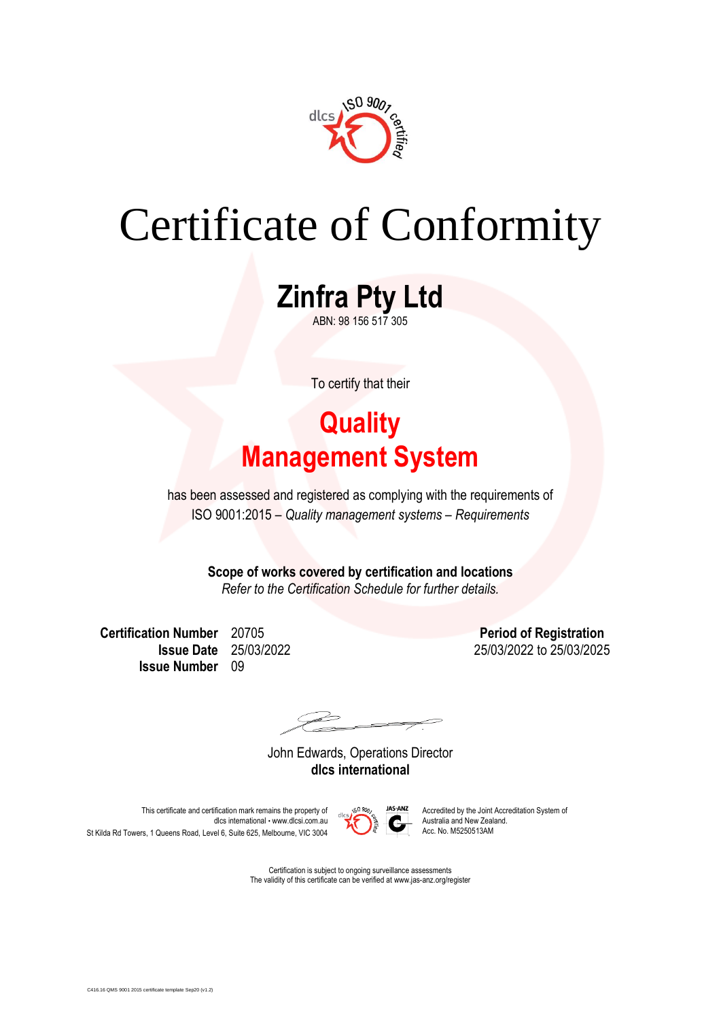

# Certificate of Conformity

**Zinfra Pty Ltd** ABN: 98 156 517 305

To certify that their

### **Quality Management System**

has been assessed and registered as complying with the requirements of ISO 9001:2015 – *Quality management systems – Requirements*

> **Scope of works covered by certification and locations** *Refer to the Certification Schedule for further details.*

**Certification Number** 20705 **Period of Registration Issue Number** 09

**Issue Date** 25/03/2022 25/03/2022 to 25/03/2025

 $\overrightarrow{a}$ 

John Edwards, Operations Director **dlcs international**

This certificate and certification mark remains the property of  $\frac{\sqrt{S}}{A}$   $\frac{90\%}{A}$  Accredited by the Joint Accreditation System of dlcs international • www.dlcsi.com.au  $\sum_{n=1}^{\infty}$  Australia and New Zealand. St Kilda Rd Towers, 1 Queens Road, Level 6, Suite 625, Melbourne, VIC 3004



Certification is subject to ongoing surveillance assessments The validity of this certificate can be verified at www.jas-anz.org/register